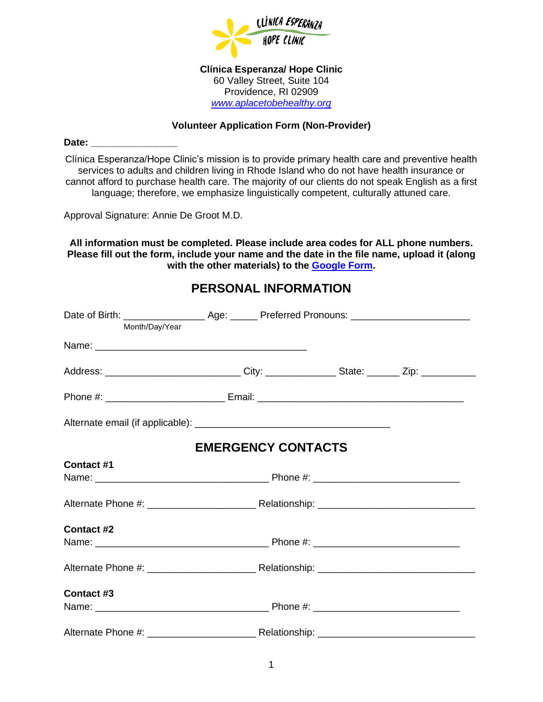

**Clínica Esperanza/ Hope Clinic** 60 Valley Street, Suite 104 Providence, RI 02909 *[www.aplacetobehealthy.org](http://www.aplacetobehealthy.org/)*

#### **Volunteer Application Form (Non-Provider)**

Date:

Clínica Esperanza/Hope Clinic's mission is to provide primary health care and preventive health services to adults and children living in Rhode Island who do not have health insurance or cannot afford to purchase health care. The majority of our clients do not speak English as a first language; therefore, we emphasize linguistically competent, culturally attuned care.

Approval Signature: Annie De Groot M.D.

**All information must be completed. Please include area codes for ALL phone numbers. Please fill out the form, include your name and the date in the file name, upload it (along with the other materials) to the [Google Form.](https://forms.gle/M2FaPAZ5moC2giiA6)**

## **PERSONAL INFORMATION**

| Month/Day/Year |                                                                                                      |  |
|----------------|------------------------------------------------------------------------------------------------------|--|
|                |                                                                                                      |  |
|                | Address: __________________________________City: __________________State: _________Zip: ____________ |  |
|                |                                                                                                      |  |
|                |                                                                                                      |  |
|                | <b>EMERGENCY CONTACTS</b>                                                                            |  |
| Contact #1     |                                                                                                      |  |
|                |                                                                                                      |  |
|                |                                                                                                      |  |
| Contact #2     |                                                                                                      |  |
|                |                                                                                                      |  |
|                |                                                                                                      |  |
| Contact #3     |                                                                                                      |  |
|                |                                                                                                      |  |
|                |                                                                                                      |  |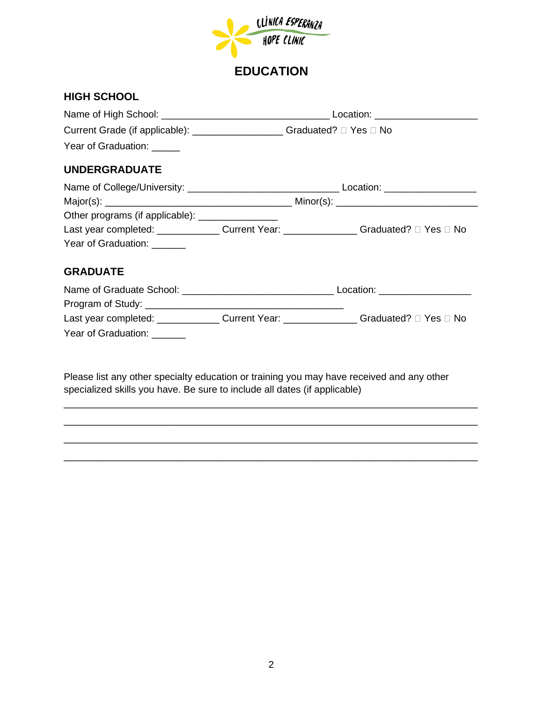

## **EDUCATION**

#### **HIGH SCHOOL**

| Current Grade (if applicable): __________________Graduated? □ Yes □ No                    |  |  |
|-------------------------------------------------------------------------------------------|--|--|
| Year of Graduation: _____                                                                 |  |  |
| <b>UNDERGRADUATE</b>                                                                      |  |  |
|                                                                                           |  |  |
|                                                                                           |  |  |
| Other programs (if applicable): ________________                                          |  |  |
| Last year completed: ________________Current Year: ________________Graduated? □ Yes □ No  |  |  |
| Year of Graduation: <u>Next State of</u>                                                  |  |  |
| <b>GRADUATE</b>                                                                           |  |  |
|                                                                                           |  |  |
|                                                                                           |  |  |
| Last year completed: ________________ Current Year: ________________Graduated? □ Yes □ No |  |  |
| Year of Graduation:                                                                       |  |  |

Please list any other specialty education or training you may have received and any other specialized skills you have. Be sure to include all dates (if applicable)

\_\_\_\_\_\_\_\_\_\_\_\_\_\_\_\_\_\_\_\_\_\_\_\_\_\_\_\_\_\_\_\_\_\_\_\_\_\_\_\_\_\_\_\_\_\_\_\_\_\_\_\_\_\_\_\_\_\_\_\_\_\_\_\_\_\_\_\_\_\_\_\_\_ \_\_\_\_\_\_\_\_\_\_\_\_\_\_\_\_\_\_\_\_\_\_\_\_\_\_\_\_\_\_\_\_\_\_\_\_\_\_\_\_\_\_\_\_\_\_\_\_\_\_\_\_\_\_\_\_\_\_\_\_\_\_\_\_\_\_\_\_\_\_\_\_\_ \_\_\_\_\_\_\_\_\_\_\_\_\_\_\_\_\_\_\_\_\_\_\_\_\_\_\_\_\_\_\_\_\_\_\_\_\_\_\_\_\_\_\_\_\_\_\_\_\_\_\_\_\_\_\_\_\_\_\_\_\_\_\_\_\_\_\_\_\_\_\_\_\_ \_\_\_\_\_\_\_\_\_\_\_\_\_\_\_\_\_\_\_\_\_\_\_\_\_\_\_\_\_\_\_\_\_\_\_\_\_\_\_\_\_\_\_\_\_\_\_\_\_\_\_\_\_\_\_\_\_\_\_\_\_\_\_\_\_\_\_\_\_\_\_\_\_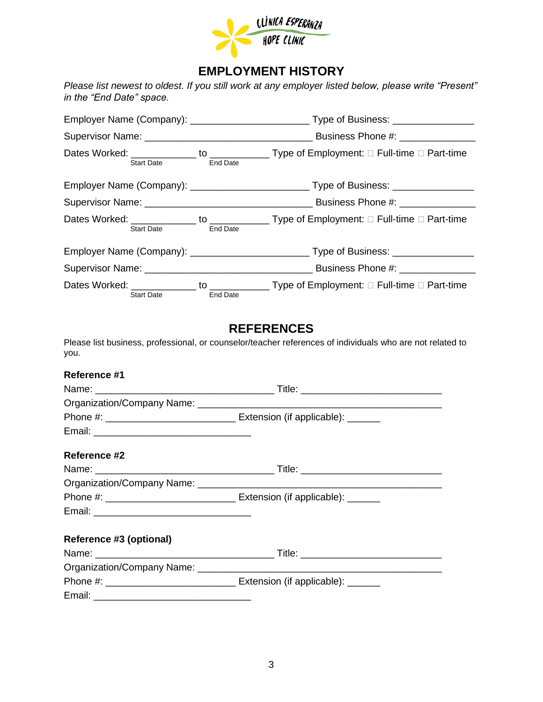

## **EMPLOYMENT HISTORY**

*Please list newest to oldest. If you still work at any employer listed below, please write "Present" in the "End Date" space.*

| Start Date <b>Start</b> | Dates Worked: _______________ to _______________Type of Employment: □ Full-time □ Part-time<br>End Date |                                                                                                      |
|-------------------------|---------------------------------------------------------------------------------------------------------|------------------------------------------------------------------------------------------------------|
|                         |                                                                                                         |                                                                                                      |
|                         |                                                                                                         |                                                                                                      |
| Start Date <b>Start</b> | End Date                                                                                                | Dates Worked: _______________ to _______________Type of Employment: □ Full-time □ Part-time          |
|                         |                                                                                                         | Employer Name (Company): _________________________________Type of Business: ________________________ |
|                         |                                                                                                         |                                                                                                      |
| <b>Start Date</b>       | End Date                                                                                                | Dates Worked: _______________ to _______________Type of Employment: □ Full-time □ Part-time          |

#### **REFERENCES**

Please list business, professional, or counselor/teacher references of individuals who are not related to you.

| Reference #1 |                                   |
|--------------|-----------------------------------|
|              |                                   |
|              |                                   |
|              | Extension (if applicable): ______ |
|              |                                   |
|              |                                   |
| Reference #2 |                                   |
|              |                                   |

|                         | Extension (if applicable): ______ |
|-------------------------|-----------------------------------|
|                         |                                   |
|                         |                                   |
| Reference #3 (optional) |                                   |
|                         |                                   |

| Name:                      | Title:                     |
|----------------------------|----------------------------|
| Organization/Company Name: |                            |
| Phone #:                   | Extension (if applicable): |
| Email:                     |                            |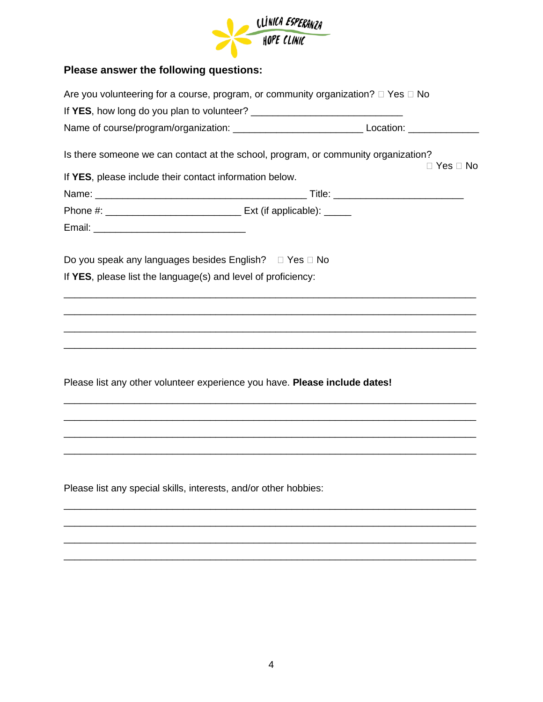

# **Please answer the following questions:**

|                                                                            | Are you volunteering for a course, program, or community organization? $\Box$ Yes $\Box$ No                                                                          |
|----------------------------------------------------------------------------|----------------------------------------------------------------------------------------------------------------------------------------------------------------------|
|                                                                            |                                                                                                                                                                      |
|                                                                            |                                                                                                                                                                      |
|                                                                            | Is there someone we can contact at the school, program, or community organization?<br>$\Box$ Yes $\Box$ No                                                           |
| If YES, please include their contact information below.                    |                                                                                                                                                                      |
|                                                                            |                                                                                                                                                                      |
|                                                                            |                                                                                                                                                                      |
|                                                                            |                                                                                                                                                                      |
| Do you speak any languages besides English? □ Yes □ No                     |                                                                                                                                                                      |
| If YES, please list the language(s) and level of proficiency:              |                                                                                                                                                                      |
|                                                                            |                                                                                                                                                                      |
|                                                                            | ,我们就会在这里的人,我们就会在这里的人,我们就会在这里的人,我们就会在这里的人,我们就会在这里的人,我们就会在这里的人,我们就会在这里的人,我们就会在这里,我<br>第251章 我们的人,我们就会在这里,我们的人,我们就会在这里,我们的人,我们就会在这里,我们就会在这里,我们就会在这里,我们就会在这里,我们就会在这里,我们就 |
|                                                                            |                                                                                                                                                                      |
| Please list any other volunteer experience you have. Please include dates! |                                                                                                                                                                      |
|                                                                            | <u> 1989 - Johann Stoff, deutscher Stoff, der Stoff, der Stoff, der Stoff, der Stoff, der Stoff, der Stoff, der S</u>                                                |
|                                                                            |                                                                                                                                                                      |
| Please list any special skills, interests, and/or other hobbies:           |                                                                                                                                                                      |
|                                                                            |                                                                                                                                                                      |
|                                                                            |                                                                                                                                                                      |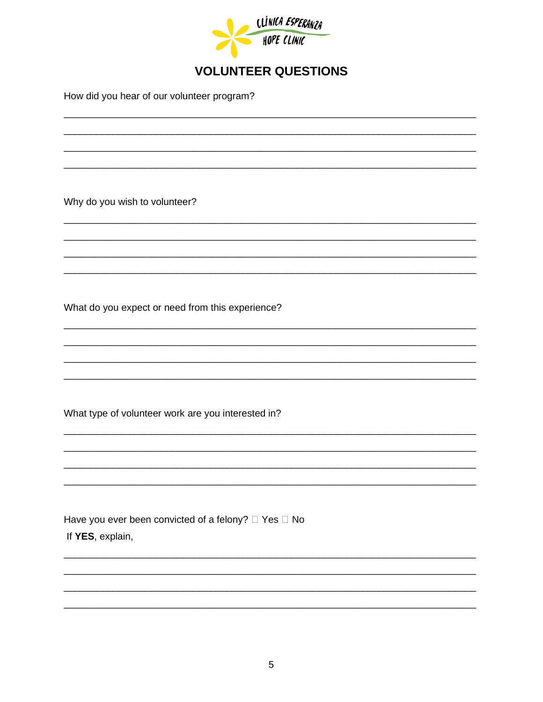

## **VOLUNTEER QUESTIONS**

How did you hear of our volunteer program?

Why do you wish to volunteer?

What do you expect or need from this experience?

What type of volunteer work are you interested in?

Have you ever been convicted of a felony? □ Yes □ No If YES, explain,